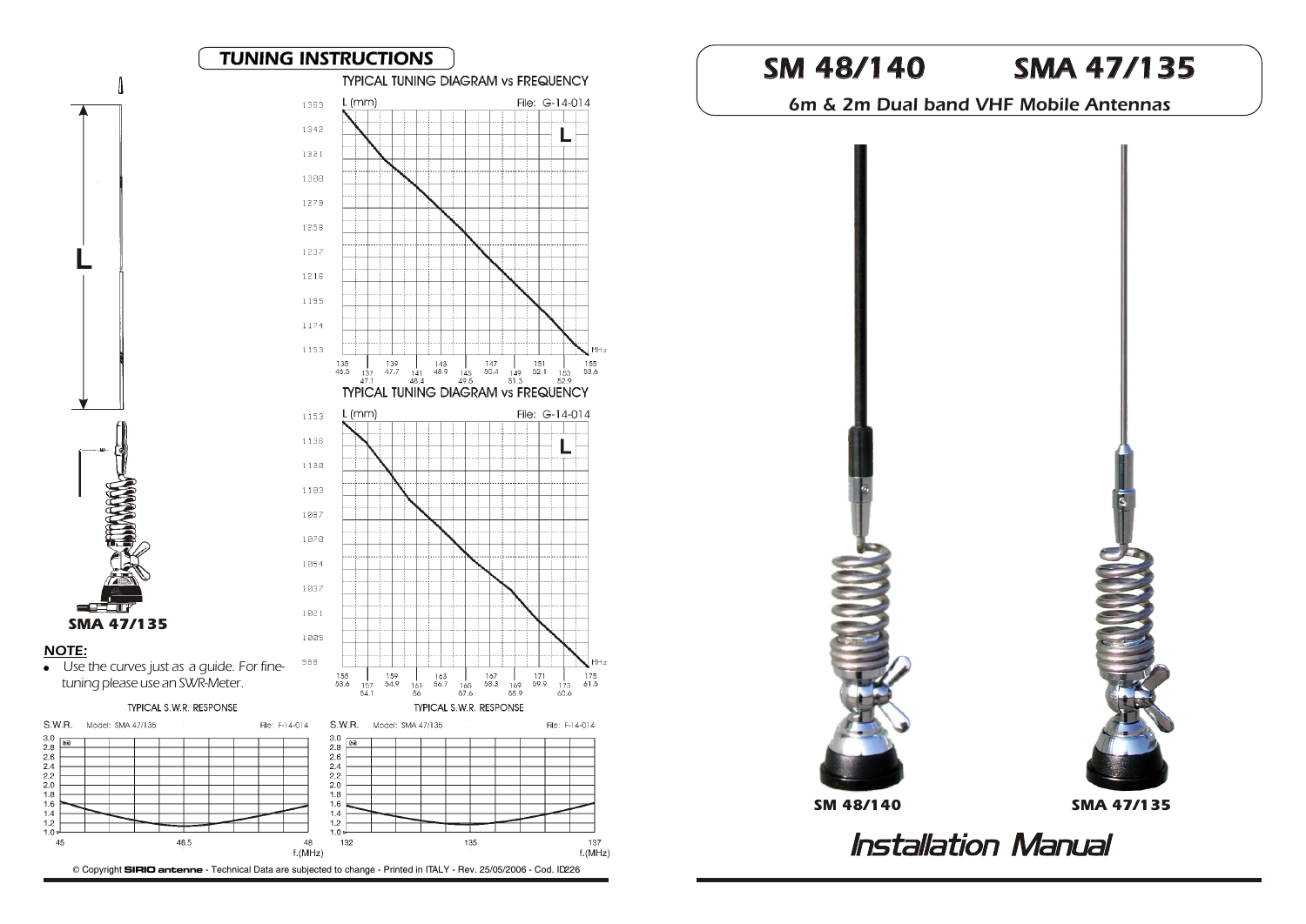

NOTE:

S.W.R.

**Pa** 

 $\begin{array}{c} 3.0 \\ 2.8 \\ 2.6 \end{array}$ 

 $2.4$ 

 $2.2$ 

 $2.0$ 

 $1.8$ 

 $1.6$ 

 $1.4$ 

 $1.2$ 

 $1.0$ 

45

6m & 2m Dual band VHF Mobile Antennas



**Installation Manual**